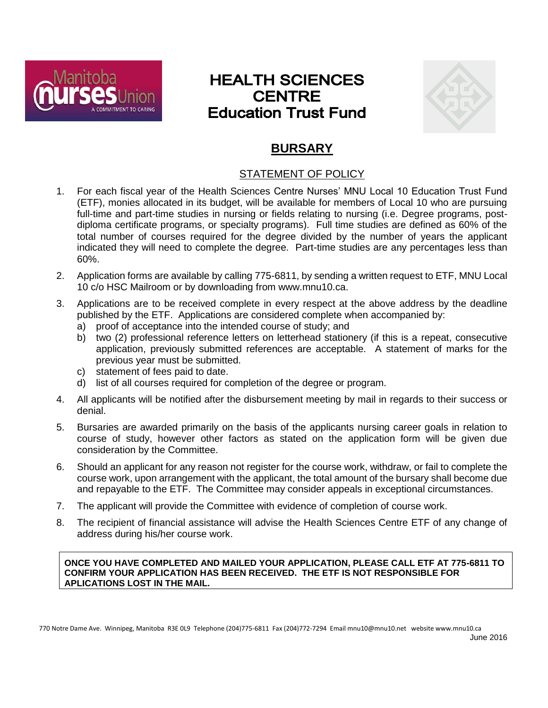

# **HEALTH SCIENCES CENTRE Education Trust Fund**



## **BURSARY**

## STATEMENT OF POLICY

- 1. For each fiscal year of the Health Sciences Centre Nurses' MNU Local 10 Education Trust Fund (ETF), monies allocated in its budget, will be available for members of Local 10 who are pursuing full-time and part-time studies in nursing or fields relating to nursing (i.e. Degree programs, postdiploma certificate programs, or specialty programs). Full time studies are defined as 60% of the total number of courses required for the degree divided by the number of years the applicant indicated they will need to complete the degree. Part-time studies are any percentages less than 60%.
- 2. Application forms are available by calling 775-6811, by sending a written request to ETF, MNU Local 10 c/o HSC Mailroom or by downloading from www.mnu10.ca.
- 3. Applications are to be received complete in every respect at the above address by the deadline published by the ETF. Applications are considered complete when accompanied by:
	- a) proof of acceptance into the intended course of study; and
	- b) two (2) professional reference letters on letterhead stationery (if this is a repeat, consecutive application, previously submitted references are acceptable. A statement of marks for the previous year must be submitted.
	- c) statement of fees paid to date.
	- d) list of all courses required for completion of the degree or program.
- 4. All applicants will be notified after the disbursement meeting by mail in regards to their success or denial.
- 5. Bursaries are awarded primarily on the basis of the applicants nursing career goals in relation to course of study, however other factors as stated on the application form will be given due consideration by the Committee.
- 6. Should an applicant for any reason not register for the course work, withdraw, or fail to complete the course work, upon arrangement with the applicant, the total amount of the bursary shall become due and repayable to the ETF. The Committee may consider appeals in exceptional circumstances.
- 7. The applicant will provide the Committee with evidence of completion of course work.
- 8. The recipient of financial assistance will advise the Health Sciences Centre ETF of any change of address during his/her course work.

**ONCE YOU HAVE COMPLETED AND MAILED YOUR APPLICATION, PLEASE CALL ETF AT 775-6811 TO CONFIRM YOUR APPLICATION HAS BEEN RECEIVED. THE ETF IS NOT RESPONSIBLE FOR APLICATIONS LOST IN THE MAIL.**

770 Notre Dame Ave. Winnipeg, Manitoba R3E 0L9 Telephone (204)775-6811 Fax (204)772-7294 Email mnu10@mnu10.net website www.mnu10.ca June 2016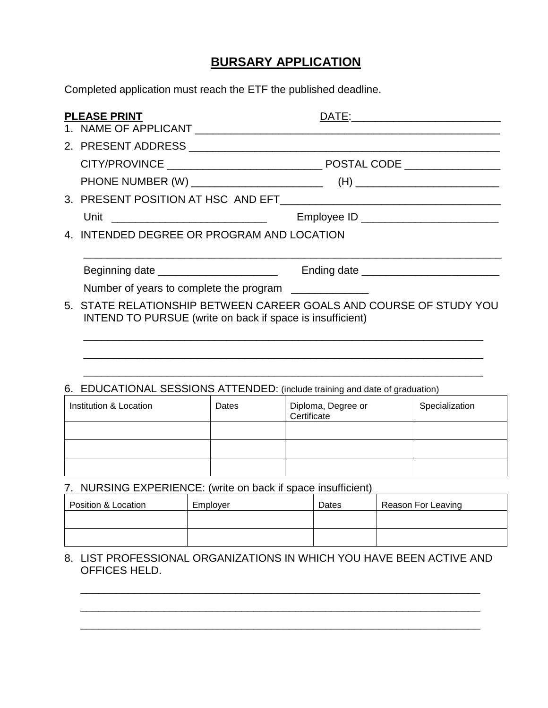## **BURSARY APPLICATION**

Completed application must reach the ETF the published deadline.

| <b>PLEASE PRINT</b>                                                                                                             | DATE: |  |  |  |  |
|---------------------------------------------------------------------------------------------------------------------------------|-------|--|--|--|--|
|                                                                                                                                 |       |  |  |  |  |
|                                                                                                                                 |       |  |  |  |  |
|                                                                                                                                 |       |  |  |  |  |
|                                                                                                                                 |       |  |  |  |  |
|                                                                                                                                 |       |  |  |  |  |
| Unit _________________________________                                                                                          |       |  |  |  |  |
| 4. INTENDED DEGREE OR PROGRAM AND LOCATION                                                                                      |       |  |  |  |  |
|                                                                                                                                 |       |  |  |  |  |
| Beginning date ________________________                                                                                         |       |  |  |  |  |
| Number of years to complete the program ______________                                                                          |       |  |  |  |  |
| 5. STATE RELATIONSHIP BETWEEN CAREER GOALS AND COURSE OF STUDY YOU<br>INTEND TO PURSUE (write on back if space is insufficient) |       |  |  |  |  |
|                                                                                                                                 |       |  |  |  |  |
|                                                                                                                                 |       |  |  |  |  |
|                                                                                                                                 |       |  |  |  |  |

#### 6. EDUCATIONAL SESSIONS ATTENDED: (include training and date of graduation)

| Institution & Location | Dates | Diploma, Degree or<br>Certificate | Specialization |
|------------------------|-------|-----------------------------------|----------------|
|                        |       |                                   |                |
|                        |       |                                   |                |
|                        |       |                                   |                |

## 7. NURSING EXPERIENCE: (write on back if space insufficient)

| Position & Location | Employer | Dates | Reason For Leaving |
|---------------------|----------|-------|--------------------|
|                     |          |       |                    |
|                     |          |       |                    |

8. LIST PROFESSIONAL ORGANIZATIONS IN WHICH YOU HAVE BEEN ACTIVE AND OFFICES HELD.

\_\_\_\_\_\_\_\_\_\_\_\_\_\_\_\_\_\_\_\_\_\_\_\_\_\_\_\_\_\_\_\_\_\_\_\_\_\_\_\_\_\_\_\_\_\_\_\_\_\_\_\_\_\_\_\_\_\_\_\_\_\_\_\_\_\_\_ \_\_\_\_\_\_\_\_\_\_\_\_\_\_\_\_\_\_\_\_\_\_\_\_\_\_\_\_\_\_\_\_\_\_\_\_\_\_\_\_\_\_\_\_\_\_\_\_\_\_\_\_\_\_\_\_\_\_\_\_\_\_\_\_\_\_\_ \_\_\_\_\_\_\_\_\_\_\_\_\_\_\_\_\_\_\_\_\_\_\_\_\_\_\_\_\_\_\_\_\_\_\_\_\_\_\_\_\_\_\_\_\_\_\_\_\_\_\_\_\_\_\_\_\_\_\_\_\_\_\_\_\_\_\_